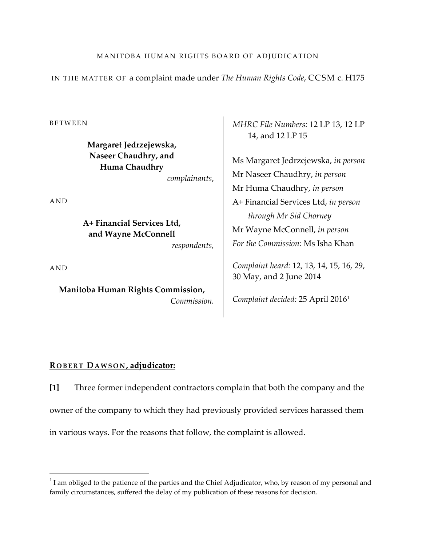IN THE MATTER OF a complaint made under *The Human Rights Code*, CCSM c. H175

BETWEEN

**Margaret Jedrzejewska, Naseer Chaudhry, and Huma Chaudhry**

*complainants*,

AND

**A+ Financial Services Ltd, and Wayne McConnell** 

*respondents,*

AND

 $\overline{\phantom{a}}$ 

**Manitoba Human Rights Commission,** *Commission.* *MHRC File Numbers:* 12 LP 13, 12 LP 14, and 12 LP 15

Ms Margaret Jedrzejewska, *in person* Mr Naseer Chaudhry, *in person* Mr Huma Chaudhry, *in person* A+ Financial Services Ltd, *in person through Mr Sid Chorney* Mr Wayne McConnell, *in person For the Commission:* Ms Isha Khan

*Complaint heard:* 12, 13, 14, 15, 16, 29, 30 May, and 2 June 2014

*Complaint decided:* 25 April 20161

#### **R OBERT DAWSON , adjudicator:**

**[1]** Three former independent contractors complain that both the company and the owner of the company to which they had previously provided services harassed them in various ways. For the reasons that follow, the complaint is allowed.

# MANITOBA HUMAN RIGHTS BOARD OF ADJUDICATION

 $1$  I am obliged to the patience of the parties and the Chief Adjudicator, who, by reason of my personal and family circumstances, suffered the delay of my publication of these reasons for decision.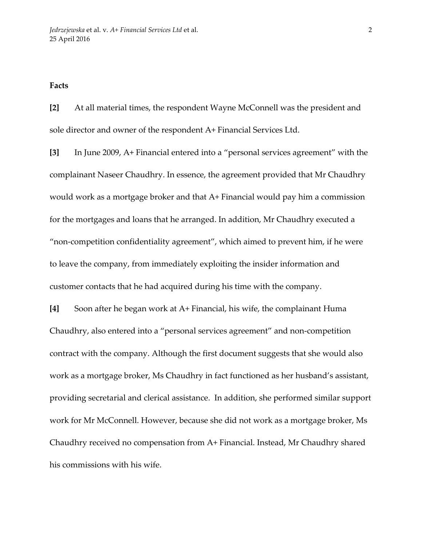### **Facts**

**[2]** At all material times, the respondent Wayne McConnell was the president and sole director and owner of the respondent A+ Financial Services Ltd.

**[3]** In June 2009, A+ Financial entered into a "personal services agreement" with the complainant Naseer Chaudhry. In essence, the agreement provided that Mr Chaudhry would work as a mortgage broker and that A+ Financial would pay him a commission for the mortgages and loans that he arranged. In addition, Mr Chaudhry executed a "non-competition confidentiality agreement", which aimed to prevent him, if he were to leave the company, from immediately exploiting the insider information and customer contacts that he had acquired during his time with the company.

**[4]** Soon after he began work at A+ Financial, his wife, the complainant Huma Chaudhry, also entered into a "personal services agreement" and non-competition contract with the company. Although the first document suggests that she would also work as a mortgage broker, Ms Chaudhry in fact functioned as her husband's assistant, providing secretarial and clerical assistance. In addition, she performed similar support work for Mr McConnell. However, because she did not work as a mortgage broker, Ms Chaudhry received no compensation from A+ Financial. Instead, Mr Chaudhry shared his commissions with his wife.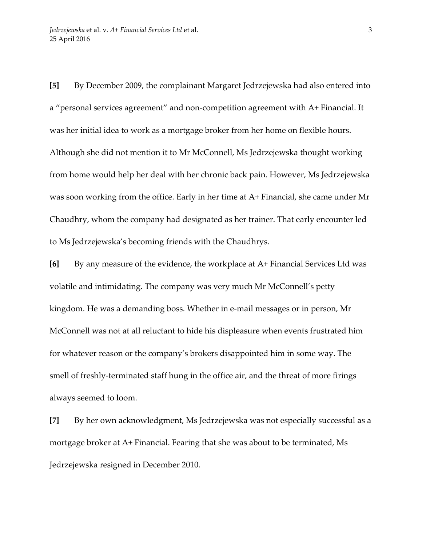**[5]** By December 2009, the complainant Margaret Jedrzejewska had also entered into a "personal services agreement" and non-competition agreement with A+ Financial. It was her initial idea to work as a mortgage broker from her home on flexible hours. Although she did not mention it to Mr McConnell, Ms Jedrzejewska thought working from home would help her deal with her chronic back pain. However, Ms Jedrzejewska was soon working from the office. Early in her time at A+ Financial, she came under Mr Chaudhry, whom the company had designated as her trainer. That early encounter led to Ms Jedrzejewska's becoming friends with the Chaudhrys.

**[6]** By any measure of the evidence, the workplace at A+ Financial Services Ltd was volatile and intimidating. The company was very much Mr McConnell's petty kingdom. He was a demanding boss. Whether in e-mail messages or in person, Mr McConnell was not at all reluctant to hide his displeasure when events frustrated him for whatever reason or the company's brokers disappointed him in some way. The smell of freshly-terminated staff hung in the office air, and the threat of more firings always seemed to loom.

**[7]** By her own acknowledgment, Ms Jedrzejewska was not especially successful as a mortgage broker at A+ Financial. Fearing that she was about to be terminated, Ms Jedrzejewska resigned in December 2010.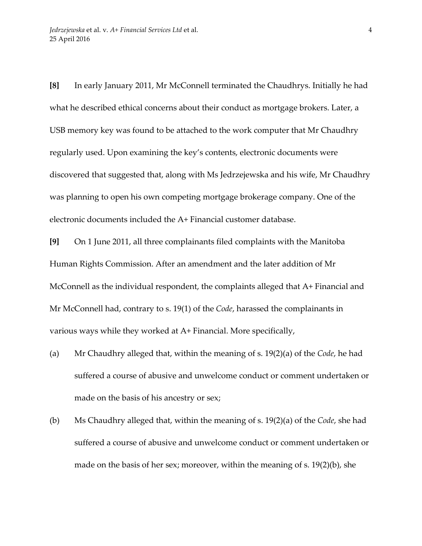**[8]** In early January 2011, Mr McConnell terminated the Chaudhrys. Initially he had what he described ethical concerns about their conduct as mortgage brokers. Later, a USB memory key was found to be attached to the work computer that Mr Chaudhry regularly used. Upon examining the key's contents, electronic documents were discovered that suggested that, along with Ms Jedrzejewska and his wife, Mr Chaudhry was planning to open his own competing mortgage brokerage company. One of the electronic documents included the A+ Financial customer database.

**[9]** On 1 June 2011, all three complainants filed complaints with the Manitoba Human Rights Commission. After an amendment and the later addition of Mr McConnell as the individual respondent, the complaints alleged that A+ Financial and Mr McConnell had, contrary to s. 19(1) of the *Code*, harassed the complainants in various ways while they worked at A+ Financial. More specifically,

- (a) Mr Chaudhry alleged that, within the meaning of s. 19(2)(a) of the *Code*, he had suffered a course of abusive and unwelcome conduct or comment undertaken or made on the basis of his ancestry or sex;
- (b) Ms Chaudhry alleged that, within the meaning of s. 19(2)(a) of the *Code*, she had suffered a course of abusive and unwelcome conduct or comment undertaken or made on the basis of her sex; moreover, within the meaning of s. 19(2)(b), she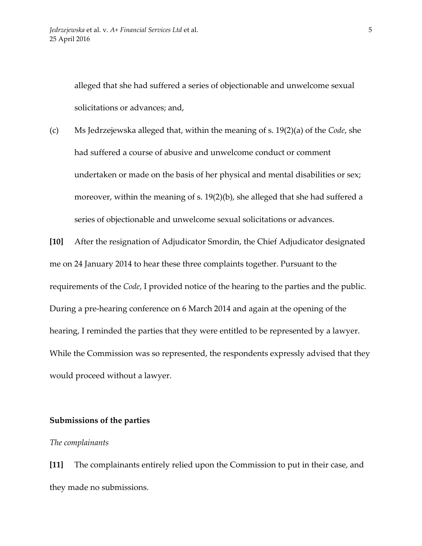alleged that she had suffered a series of objectionable and unwelcome sexual solicitations or advances; and,

(c) Ms Jedrzejewska alleged that, within the meaning of s. 19(2)(a) of the *Code*, she had suffered a course of abusive and unwelcome conduct or comment undertaken or made on the basis of her physical and mental disabilities or sex; moreover, within the meaning of s. 19(2)(b), she alleged that she had suffered a series of objectionable and unwelcome sexual solicitations or advances.

**[10]** After the resignation of Adjudicator Smordin, the Chief Adjudicator designated me on 24 January 2014 to hear these three complaints together. Pursuant to the requirements of the *Code*, I provided notice of the hearing to the parties and the public. During a pre-hearing conference on 6 March 2014 and again at the opening of the hearing, I reminded the parties that they were entitled to be represented by a lawyer. While the Commission was so represented, the respondents expressly advised that they would proceed without a lawyer.

## **Submissions of the parties**

#### *The complainants*

**[11]** The complainants entirely relied upon the Commission to put in their case, and they made no submissions.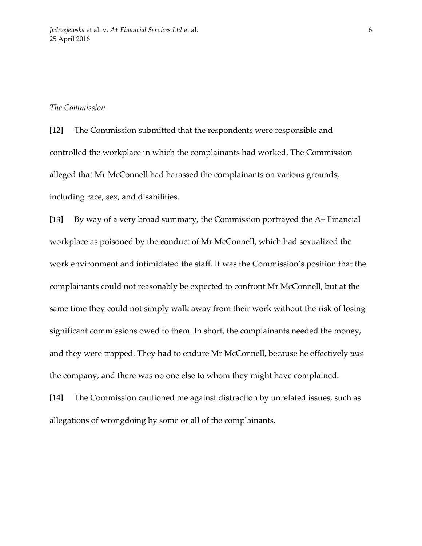#### *The Commission*

**[12]** The Commission submitted that the respondents were responsible and controlled the workplace in which the complainants had worked. The Commission alleged that Mr McConnell had harassed the complainants on various grounds, including race, sex, and disabilities.

**[13]** By way of a very broad summary, the Commission portrayed the A+ Financial workplace as poisoned by the conduct of Mr McConnell, which had sexualized the work environment and intimidated the staff. It was the Commission's position that the complainants could not reasonably be expected to confront Mr McConnell, but at the same time they could not simply walk away from their work without the risk of losing significant commissions owed to them. In short, the complainants needed the money, and they were trapped. They had to endure Mr McConnell, because he effectively *was* the company, and there was no one else to whom they might have complained.

**[14]** The Commission cautioned me against distraction by unrelated issues, such as allegations of wrongdoing by some or all of the complainants.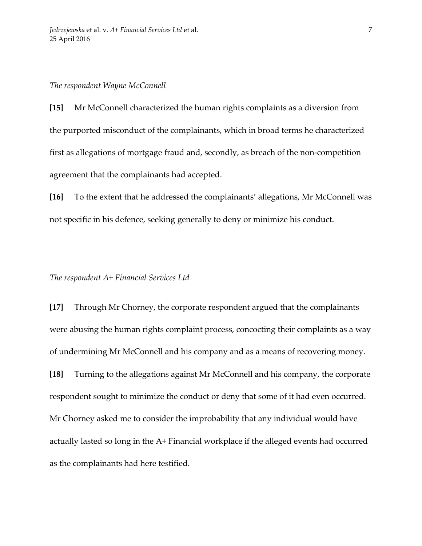#### *The respondent Wayne McConnell*

**[15]** Mr McConnell characterized the human rights complaints as a diversion from the purported misconduct of the complainants, which in broad terms he characterized first as allegations of mortgage fraud and, secondly, as breach of the non-competition agreement that the complainants had accepted.

**[16]** To the extent that he addressed the complainants' allegations, Mr McConnell was not specific in his defence, seeking generally to deny or minimize his conduct.

### *The respondent A+ Financial Services Ltd*

**[17]** Through Mr Chorney, the corporate respondent argued that the complainants were abusing the human rights complaint process, concocting their complaints as a way of undermining Mr McConnell and his company and as a means of recovering money. **[18]** Turning to the allegations against Mr McConnell and his company, the corporate respondent sought to minimize the conduct or deny that some of it had even occurred. Mr Chorney asked me to consider the improbability that any individual would have actually lasted so long in the A+ Financial workplace if the alleged events had occurred as the complainants had here testified.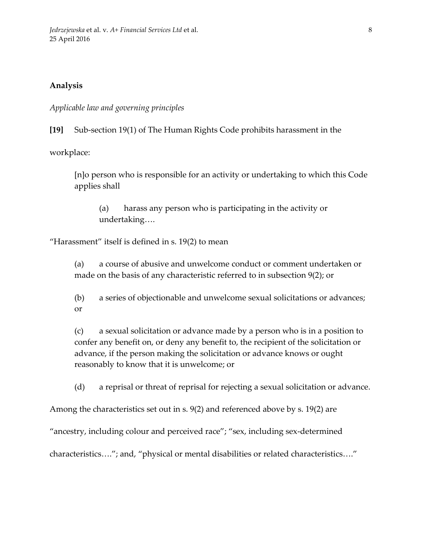## **Analysis**

*Applicable law and governing principles*

**[19]** Sub-section 19(1) of The Human Rights Code prohibits harassment in the

workplace:

[n]o person who is responsible for an activity or undertaking to which this Code applies shall

(a) harass any person who is participating in the activity or undertaking….

"Harassment" itself is defined in s. 19(2) to mean

(a) a course of abusive and unwelcome conduct or comment undertaken or made on the basis of any characteristic referred to in subsection 9(2); or

(b) a series of objectionable and unwelcome sexual solicitations or advances; or

(c) a sexual solicitation or advance made by a person who is in a position to confer any benefit on, or deny any benefit to, the recipient of the solicitation or advance, if the person making the solicitation or advance knows or ought reasonably to know that it is unwelcome; or

(d) a reprisal or threat of reprisal for rejecting a sexual solicitation or advance.

Among the characteristics set out in s. 9(2) and referenced above by s. 19(2) are

"ancestry, including colour and perceived race"; "sex, including sex-determined

characteristics…."; and, "physical or mental disabilities or related characteristics…."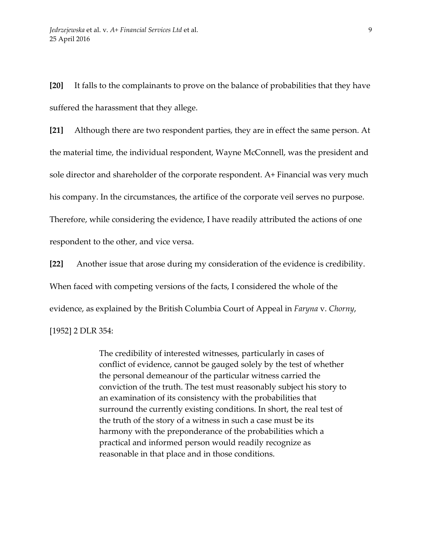**[20]** It falls to the complainants to prove on the balance of probabilities that they have suffered the harassment that they allege.

**[21]** Although there are two respondent parties, they are in effect the same person. At the material time, the individual respondent, Wayne McConnell, was the president and sole director and shareholder of the corporate respondent. A+ Financial was very much his company. In the circumstances, the artifice of the corporate veil serves no purpose. Therefore, while considering the evidence, I have readily attributed the actions of one respondent to the other, and vice versa.

**[22]** Another issue that arose during my consideration of the evidence is credibility. When faced with competing versions of the facts, I considered the whole of the evidence, as explained by the British Columbia Court of Appeal in *Faryna* v. *Chorny*, [1952] 2 DLR 354:

> The credibility of interested witnesses, particularly in cases of conflict of evidence, cannot be gauged solely by the test of whether the personal demeanour of the particular witness carried the conviction of the truth. The test must reasonably subject his story to an examination of its consistency with the probabilities that surround the currently existing conditions. In short, the real test of the truth of the story of a witness in such a case must be its harmony with the preponderance of the probabilities which a practical and informed person would readily recognize as reasonable in that place and in those conditions.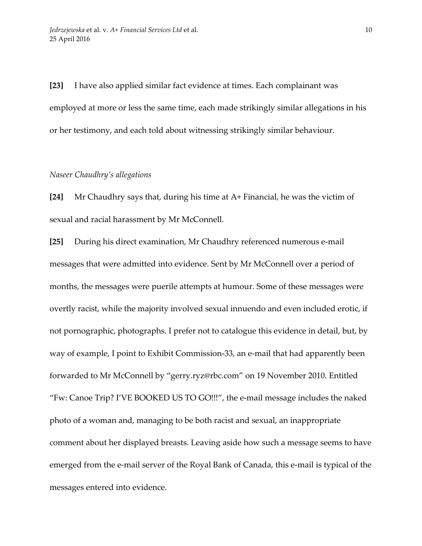**[23]** I have also applied similar fact evidence at times. Each complainant was employed at more or less the same time, each made strikingly similar allegations in his or her testimony, and each told about witnessing strikingly similar behaviour.

#### *Naseer Chaudhry's allegations*

**[24]** Mr Chaudhry says that, during his time at A+ Financial, he was the victim of sexual and racial harassment by Mr McConnell.

**[25]** During his direct examination, Mr Chaudhry referenced numerous e-mail messages that were admitted into evidence. Sent by Mr McConnell over a period of months, the messages were puerile attempts at humour. Some of these messages were overtly racist, while the majority involved sexual innuendo and even included erotic, if not pornographic, photographs. I prefer not to catalogue this evidence in detail, but, by way of example, I point to Exhibit Commission-33, an e-mail that had apparently been forwarded to Mr McConnell by "gerry.ryz@rbc.com" on 19 November 2010. Entitled "Fw: Canoe Trip? I'VE BOOKED US TO GO!!!", the e-mail message includes the naked photo of a woman and, managing to be both racist and sexual, an inappropriate comment about her displayed breasts. Leaving aside how such a message seems to have emerged from the e-mail server of the Royal Bank of Canada, this e-mail is typical of the messages entered into evidence.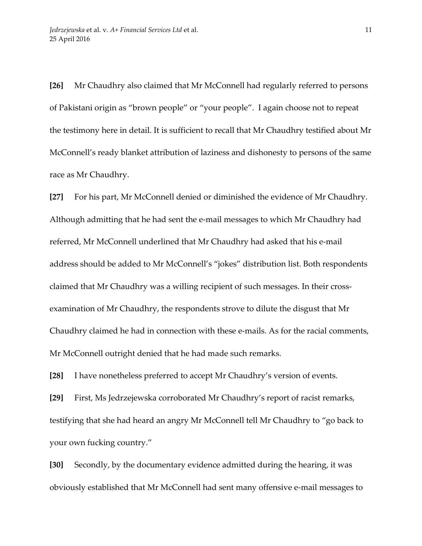**[26]** Mr Chaudhry also claimed that Mr McConnell had regularly referred to persons of Pakistani origin as "brown people" or "your people". I again choose not to repeat the testimony here in detail. It is sufficient to recall that Mr Chaudhry testified about Mr McConnell's ready blanket attribution of laziness and dishonesty to persons of the same race as Mr Chaudhry.

**[27]** For his part, Mr McConnell denied or diminished the evidence of Mr Chaudhry. Although admitting that he had sent the e-mail messages to which Mr Chaudhry had referred, Mr McConnell underlined that Mr Chaudhry had asked that his e-mail address should be added to Mr McConnell's "jokes" distribution list. Both respondents claimed that Mr Chaudhry was a willing recipient of such messages. In their crossexamination of Mr Chaudhry, the respondents strove to dilute the disgust that Mr Chaudhry claimed he had in connection with these e-mails. As for the racial comments, Mr McConnell outright denied that he had made such remarks.

**[28]** I have nonetheless preferred to accept Mr Chaudhry's version of events.

**[29]** First, Ms Jedrzejewska corroborated Mr Chaudhry's report of racist remarks, testifying that she had heard an angry Mr McConnell tell Mr Chaudhry to "go back to your own fucking country."

**[30]** Secondly, by the documentary evidence admitted during the hearing, it was obviously established that Mr McConnell had sent many offensive e-mail messages to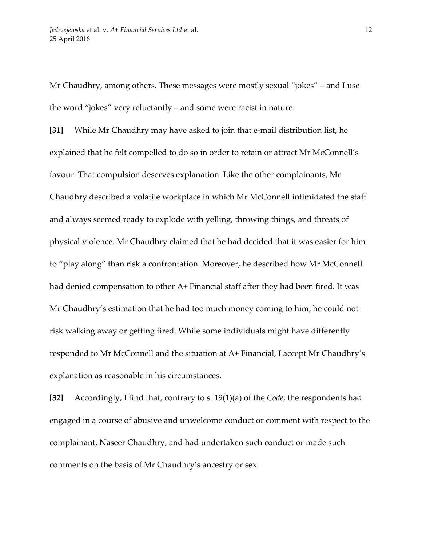Mr Chaudhry, among others. These messages were mostly sexual "jokes" – and I use the word "jokes" very reluctantly – and some were racist in nature.

**[31]** While Mr Chaudhry may have asked to join that e-mail distribution list, he explained that he felt compelled to do so in order to retain or attract Mr McConnell's favour. That compulsion deserves explanation. Like the other complainants, Mr Chaudhry described a volatile workplace in which Mr McConnell intimidated the staff and always seemed ready to explode with yelling, throwing things, and threats of physical violence. Mr Chaudhry claimed that he had decided that it was easier for him to "play along" than risk a confrontation. Moreover, he described how Mr McConnell had denied compensation to other A+ Financial staff after they had been fired. It was Mr Chaudhry's estimation that he had too much money coming to him; he could not risk walking away or getting fired. While some individuals might have differently responded to Mr McConnell and the situation at A+ Financial, I accept Mr Chaudhry's explanation as reasonable in his circumstances.

**[32]** Accordingly, I find that, contrary to s. 19(1)(a) of the *Code*, the respondents had engaged in a course of abusive and unwelcome conduct or comment with respect to the complainant, Naseer Chaudhry, and had undertaken such conduct or made such comments on the basis of Mr Chaudhry's ancestry or sex.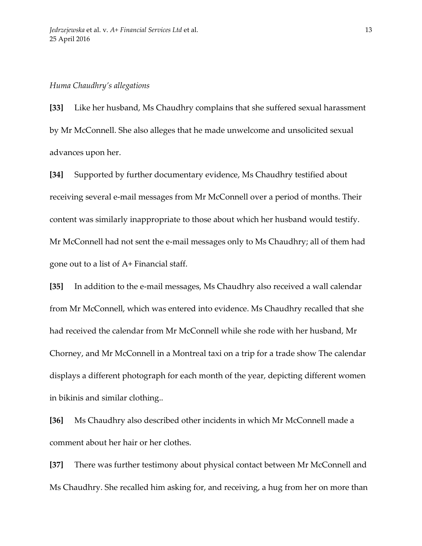#### *Huma Chaudhry's allegations*

**[33]** Like her husband, Ms Chaudhry complains that she suffered sexual harassment by Mr McConnell. She also alleges that he made unwelcome and unsolicited sexual advances upon her.

**[34]** Supported by further documentary evidence, Ms Chaudhry testified about receiving several e-mail messages from Mr McConnell over a period of months. Their content was similarly inappropriate to those about which her husband would testify. Mr McConnell had not sent the e-mail messages only to Ms Chaudhry; all of them had gone out to a list of A+ Financial staff.

**[35]** In addition to the e-mail messages, Ms Chaudhry also received a wall calendar from Mr McConnell, which was entered into evidence. Ms Chaudhry recalled that she had received the calendar from Mr McConnell while she rode with her husband, Mr Chorney, and Mr McConnell in a Montreal taxi on a trip for a trade show The calendar displays a different photograph for each month of the year, depicting different women in bikinis and similar clothing..

**[36]** Ms Chaudhry also described other incidents in which Mr McConnell made a comment about her hair or her clothes.

**[37]** There was further testimony about physical contact between Mr McConnell and Ms Chaudhry. She recalled him asking for, and receiving, a hug from her on more than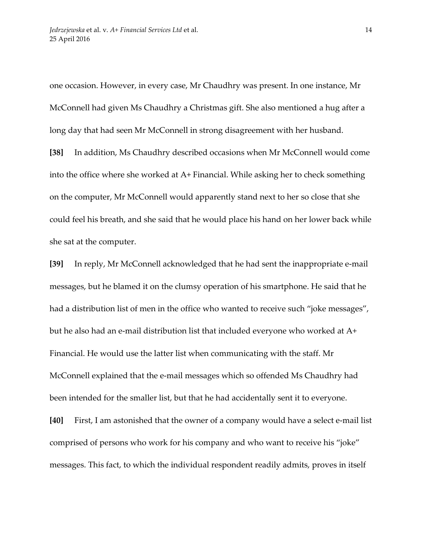one occasion. However, in every case, Mr Chaudhry was present. In one instance, Mr McConnell had given Ms Chaudhry a Christmas gift. She also mentioned a hug after a long day that had seen Mr McConnell in strong disagreement with her husband.

**[38]** In addition, Ms Chaudhry described occasions when Mr McConnell would come into the office where she worked at A+ Financial. While asking her to check something on the computer, Mr McConnell would apparently stand next to her so close that she could feel his breath, and she said that he would place his hand on her lower back while she sat at the computer.

**[39]** In reply, Mr McConnell acknowledged that he had sent the inappropriate e-mail messages, but he blamed it on the clumsy operation of his smartphone. He said that he had a distribution list of men in the office who wanted to receive such "joke messages", but he also had an e-mail distribution list that included everyone who worked at A+ Financial. He would use the latter list when communicating with the staff. Mr McConnell explained that the e-mail messages which so offended Ms Chaudhry had been intended for the smaller list, but that he had accidentally sent it to everyone.

**[40]** First, I am astonished that the owner of a company would have a select e-mail list comprised of persons who work for his company and who want to receive his "joke" messages. This fact, to which the individual respondent readily admits, proves in itself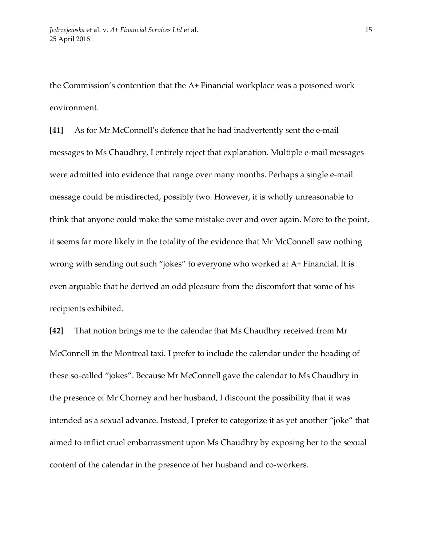the Commission's contention that the A+ Financial workplace was a poisoned work environment.

**[41]** As for Mr McConnell's defence that he had inadvertently sent the e-mail messages to Ms Chaudhry, I entirely reject that explanation. Multiple e-mail messages were admitted into evidence that range over many months. Perhaps a single e-mail message could be misdirected, possibly two. However, it is wholly unreasonable to think that anyone could make the same mistake over and over again. More to the point, it seems far more likely in the totality of the evidence that Mr McConnell saw nothing wrong with sending out such "jokes" to everyone who worked at A+ Financial. It is even arguable that he derived an odd pleasure from the discomfort that some of his recipients exhibited.

**[42]** That notion brings me to the calendar that Ms Chaudhry received from Mr McConnell in the Montreal taxi. I prefer to include the calendar under the heading of these so-called "jokes". Because Mr McConnell gave the calendar to Ms Chaudhry in the presence of Mr Chorney and her husband, I discount the possibility that it was intended as a sexual advance. Instead, I prefer to categorize it as yet another "joke" that aimed to inflict cruel embarrassment upon Ms Chaudhry by exposing her to the sexual content of the calendar in the presence of her husband and co-workers.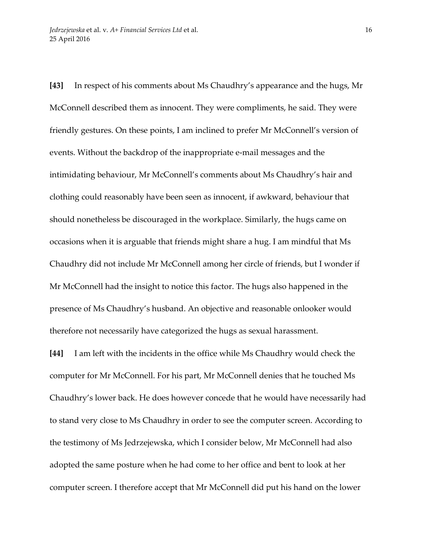**[43]** In respect of his comments about Ms Chaudhry's appearance and the hugs, Mr McConnell described them as innocent. They were compliments, he said. They were friendly gestures. On these points, I am inclined to prefer Mr McConnell's version of events. Without the backdrop of the inappropriate e-mail messages and the intimidating behaviour, Mr McConnell's comments about Ms Chaudhry's hair and clothing could reasonably have been seen as innocent, if awkward, behaviour that should nonetheless be discouraged in the workplace. Similarly, the hugs came on occasions when it is arguable that friends might share a hug. I am mindful that Ms Chaudhry did not include Mr McConnell among her circle of friends, but I wonder if Mr McConnell had the insight to notice this factor. The hugs also happened in the presence of Ms Chaudhry's husband. An objective and reasonable onlooker would therefore not necessarily have categorized the hugs as sexual harassment.

**[44]** I am left with the incidents in the office while Ms Chaudhry would check the computer for Mr McConnell. For his part, Mr McConnell denies that he touched Ms Chaudhry's lower back. He does however concede that he would have necessarily had to stand very close to Ms Chaudhry in order to see the computer screen. According to the testimony of Ms Jedrzejewska, which I consider below, Mr McConnell had also adopted the same posture when he had come to her office and bent to look at her computer screen. I therefore accept that Mr McConnell did put his hand on the lower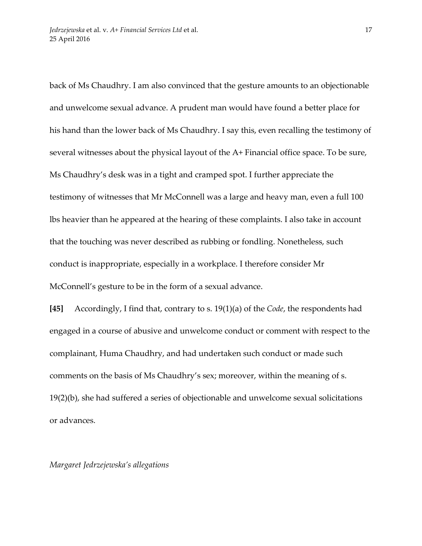back of Ms Chaudhry. I am also convinced that the gesture amounts to an objectionable and unwelcome sexual advance. A prudent man would have found a better place for his hand than the lower back of Ms Chaudhry. I say this, even recalling the testimony of several witnesses about the physical layout of the A+ Financial office space. To be sure, Ms Chaudhry's desk was in a tight and cramped spot. I further appreciate the testimony of witnesses that Mr McConnell was a large and heavy man, even a full 100 lbs heavier than he appeared at the hearing of these complaints. I also take in account that the touching was never described as rubbing or fondling. Nonetheless, such conduct is inappropriate, especially in a workplace. I therefore consider Mr McConnell's gesture to be in the form of a sexual advance.

**[45]** Accordingly, I find that, contrary to s. 19(1)(a) of the *Code*, the respondents had engaged in a course of abusive and unwelcome conduct or comment with respect to the complainant, Huma Chaudhry, and had undertaken such conduct or made such comments on the basis of Ms Chaudhry's sex; moreover, within the meaning of s. 19(2)(b), she had suffered a series of objectionable and unwelcome sexual solicitations or advances.

*Margaret Jedrzejewska's allegations*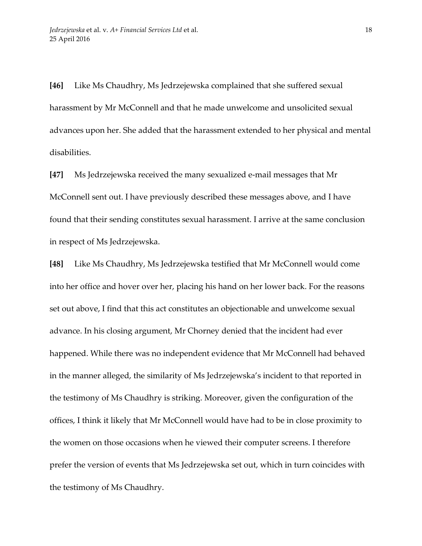**[46]** Like Ms Chaudhry, Ms Jedrzejewska complained that she suffered sexual harassment by Mr McConnell and that he made unwelcome and unsolicited sexual advances upon her. She added that the harassment extended to her physical and mental disabilities.

**[47]** Ms Jedrzejewska received the many sexualized e-mail messages that Mr McConnell sent out. I have previously described these messages above, and I have found that their sending constitutes sexual harassment. I arrive at the same conclusion in respect of Ms Jedrzejewska.

**[48]** Like Ms Chaudhry, Ms Jedrzejewska testified that Mr McConnell would come into her office and hover over her, placing his hand on her lower back. For the reasons set out above, I find that this act constitutes an objectionable and unwelcome sexual advance. In his closing argument, Mr Chorney denied that the incident had ever happened. While there was no independent evidence that Mr McConnell had behaved in the manner alleged, the similarity of Ms Jedrzejewska's incident to that reported in the testimony of Ms Chaudhry is striking. Moreover, given the configuration of the offices, I think it likely that Mr McConnell would have had to be in close proximity to the women on those occasions when he viewed their computer screens. I therefore prefer the version of events that Ms Jedrzejewska set out, which in turn coincides with the testimony of Ms Chaudhry.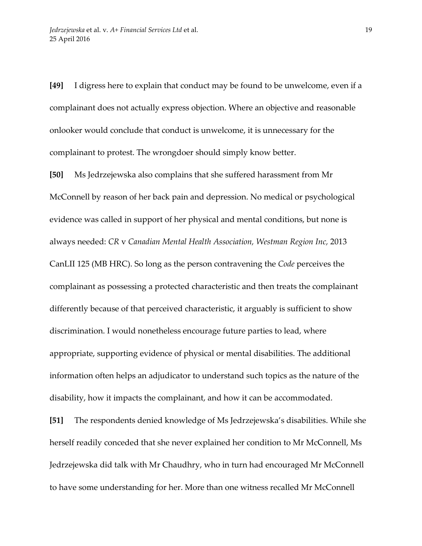**[49]** I digress here to explain that conduct may be found to be unwelcome, even if a complainant does not actually express objection. Where an objective and reasonable onlooker would conclude that conduct is unwelcome, it is unnecessary for the complainant to protest. The wrongdoer should simply know better.

**[50]** Ms Jedrzejewska also complains that she suffered harassment from Mr McConnell by reason of her back pain and depression. No medical or psychological evidence was called in support of her physical and mental conditions, but none is always needed: *CR* v *Canadian Mental Health Association, Westman Region Inc,* 2013 CanLII 125 (MB HRC). So long as the person contravening the *Code* perceives the complainant as possessing a protected characteristic and then treats the complainant differently because of that perceived characteristic, it arguably is sufficient to show discrimination. I would nonetheless encourage future parties to lead, where appropriate, supporting evidence of physical or mental disabilities. The additional information often helps an adjudicator to understand such topics as the nature of the disability, how it impacts the complainant, and how it can be accommodated.

**[51]** The respondents denied knowledge of Ms Jedrzejewska's disabilities. While she herself readily conceded that she never explained her condition to Mr McConnell, Ms Jedrzejewska did talk with Mr Chaudhry, who in turn had encouraged Mr McConnell to have some understanding for her. More than one witness recalled Mr McConnell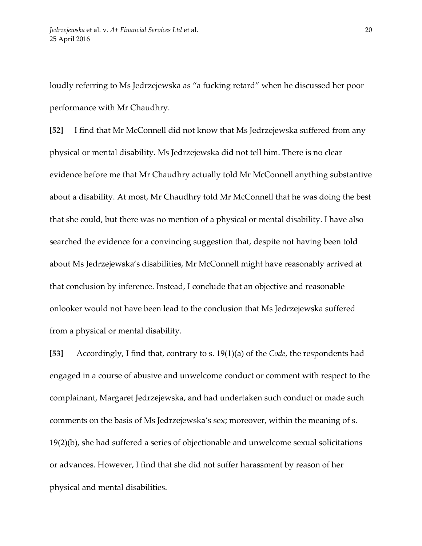loudly referring to Ms Jedrzejewska as "a fucking retard" when he discussed her poor performance with Mr Chaudhry.

**[52]** I find that Mr McConnell did not know that Ms Jedrzejewska suffered from any physical or mental disability. Ms Jedrzejewska did not tell him. There is no clear evidence before me that Mr Chaudhry actually told Mr McConnell anything substantive about a disability. At most, Mr Chaudhry told Mr McConnell that he was doing the best that she could, but there was no mention of a physical or mental disability. I have also searched the evidence for a convincing suggestion that, despite not having been told about Ms Jedrzejewska's disabilities, Mr McConnell might have reasonably arrived at that conclusion by inference. Instead, I conclude that an objective and reasonable onlooker would not have been lead to the conclusion that Ms Jedrzejewska suffered from a physical or mental disability.

**[53]** Accordingly, I find that, contrary to s. 19(1)(a) of the *Code*, the respondents had engaged in a course of abusive and unwelcome conduct or comment with respect to the complainant, Margaret Jedrzejewska, and had undertaken such conduct or made such comments on the basis of Ms Jedrzejewska's sex; moreover, within the meaning of s. 19(2)(b), she had suffered a series of objectionable and unwelcome sexual solicitations or advances. However, I find that she did not suffer harassment by reason of her physical and mental disabilities.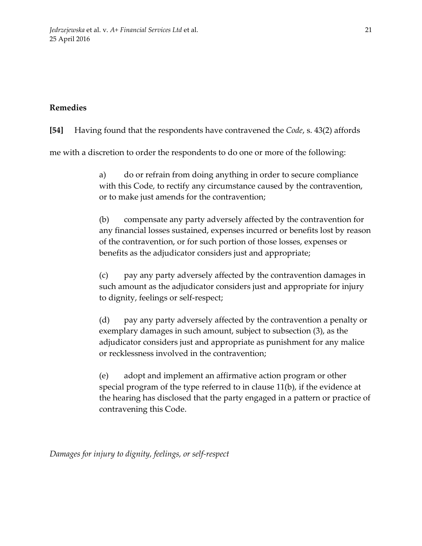# **Remedies**

**[54]** Having found that the respondents have contravened the *Code*, s. 43(2) affords

me with a discretion to order the respondents to do one or more of the following:

a) do or refrain from doing anything in order to secure compliance with this Code, to rectify any circumstance caused by the contravention, or to make just amends for the contravention;

(b) compensate any party adversely affected by the contravention for any financial losses sustained, expenses incurred or benefits lost by reason of the contravention, or for such portion of those losses, expenses or benefits as the adjudicator considers just and appropriate;

(c) pay any party adversely affected by the contravention damages in such amount as the adjudicator considers just and appropriate for injury to dignity, feelings or self-respect;

(d) pay any party adversely affected by the contravention a penalty or exemplary damages in such amount, subject to subsection (3), as the adjudicator considers just and appropriate as punishment for any malice or recklessness involved in the contravention;

(e) adopt and implement an affirmative action program or other special program of the type referred to in clause 11(b), if the evidence at the hearing has disclosed that the party engaged in a pattern or practice of contravening this Code.

*Damages for injury to dignity, feelings, or self-respect*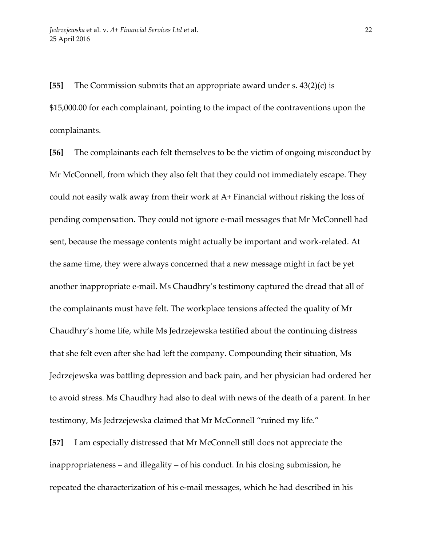**[55]** The Commission submits that an appropriate award under s. 43(2)(c) is \$15,000.00 for each complainant, pointing to the impact of the contraventions upon the complainants.

**[56]** The complainants each felt themselves to be the victim of ongoing misconduct by Mr McConnell, from which they also felt that they could not immediately escape. They could not easily walk away from their work at A+ Financial without risking the loss of pending compensation. They could not ignore e-mail messages that Mr McConnell had sent, because the message contents might actually be important and work-related. At the same time, they were always concerned that a new message might in fact be yet another inappropriate e-mail. Ms Chaudhry's testimony captured the dread that all of the complainants must have felt. The workplace tensions affected the quality of Mr Chaudhry's home life, while Ms Jedrzejewska testified about the continuing distress that she felt even after she had left the company. Compounding their situation, Ms Jedrzejewska was battling depression and back pain, and her physician had ordered her to avoid stress. Ms Chaudhry had also to deal with news of the death of a parent. In her testimony, Ms Jedrzejewska claimed that Mr McConnell "ruined my life."

**[57]** I am especially distressed that Mr McConnell still does not appreciate the inappropriateness – and illegality – of his conduct. In his closing submission, he repeated the characterization of his e-mail messages, which he had described in his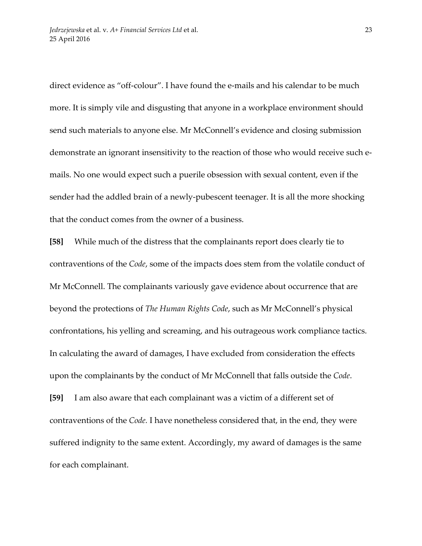direct evidence as "off-colour". I have found the e-mails and his calendar to be much more. It is simply vile and disgusting that anyone in a workplace environment should send such materials to anyone else. Mr McConnell's evidence and closing submission demonstrate an ignorant insensitivity to the reaction of those who would receive such emails. No one would expect such a puerile obsession with sexual content, even if the sender had the addled brain of a newly-pubescent teenager. It is all the more shocking that the conduct comes from the owner of a business.

**[58]** While much of the distress that the complainants report does clearly tie to contraventions of the *Code*, some of the impacts does stem from the volatile conduct of Mr McConnell. The complainants variously gave evidence about occurrence that are beyond the protections of *The Human Rights Code*, such as Mr McConnell's physical confrontations, his yelling and screaming, and his outrageous work compliance tactics. In calculating the award of damages, I have excluded from consideration the effects upon the complainants by the conduct of Mr McConnell that falls outside the *Code*. **[59]** I am also aware that each complainant was a victim of a different set of contraventions of the *Code.* I have nonetheless considered that, in the end, they were suffered indignity to the same extent. Accordingly, my award of damages is the same for each complainant.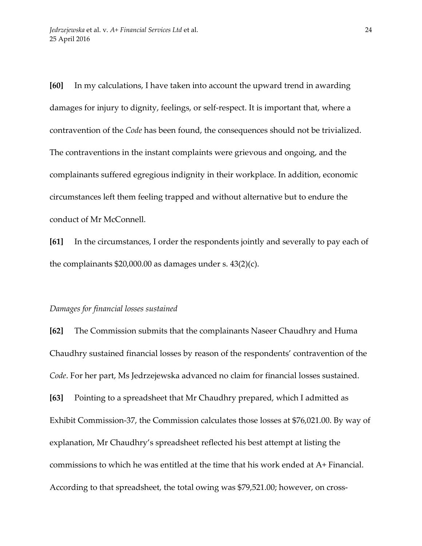**[60]** In my calculations, I have taken into account the upward trend in awarding damages for injury to dignity, feelings, or self-respect. It is important that, where a contravention of the *Code* has been found, the consequences should not be trivialized. The contraventions in the instant complaints were grievous and ongoing, and the complainants suffered egregious indignity in their workplace. In addition, economic circumstances left them feeling trapped and without alternative but to endure the conduct of Mr McConnell.

**[61]** In the circumstances, I order the respondents jointly and severally to pay each of the complainants \$20,000.00 as damages under s. 43(2)(c).

## *Damages for financial losses sustained*

**[62]** The Commission submits that the complainants Naseer Chaudhry and Huma Chaudhry sustained financial losses by reason of the respondents' contravention of the *Code*. For her part, Ms Jedrzejewska advanced no claim for financial losses sustained. **[63]** Pointing to a spreadsheet that Mr Chaudhry prepared, which I admitted as Exhibit Commission-37, the Commission calculates those losses at \$76,021.00. By way of explanation, Mr Chaudhry's spreadsheet reflected his best attempt at listing the commissions to which he was entitled at the time that his work ended at A+ Financial. According to that spreadsheet, the total owing was \$79,521.00; however, on cross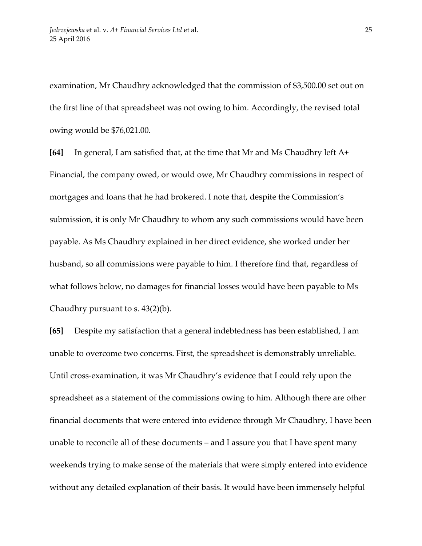examination, Mr Chaudhry acknowledged that the commission of \$3,500.00 set out on the first line of that spreadsheet was not owing to him. Accordingly, the revised total owing would be \$76,021.00.

**[64]** In general, I am satisfied that, at the time that Mr and Ms Chaudhry left A+ Financial, the company owed, or would owe, Mr Chaudhry commissions in respect of mortgages and loans that he had brokered. I note that, despite the Commission's submission, it is only Mr Chaudhry to whom any such commissions would have been payable. As Ms Chaudhry explained in her direct evidence, she worked under her husband, so all commissions were payable to him. I therefore find that, regardless of what follows below, no damages for financial losses would have been payable to Ms Chaudhry pursuant to s. 43(2)(b).

**[65]** Despite my satisfaction that a general indebtedness has been established, I am unable to overcome two concerns. First, the spreadsheet is demonstrably unreliable. Until cross-examination, it was Mr Chaudhry's evidence that I could rely upon the spreadsheet as a statement of the commissions owing to him. Although there are other financial documents that were entered into evidence through Mr Chaudhry, I have been unable to reconcile all of these documents – and I assure you that I have spent many weekends trying to make sense of the materials that were simply entered into evidence without any detailed explanation of their basis. It would have been immensely helpful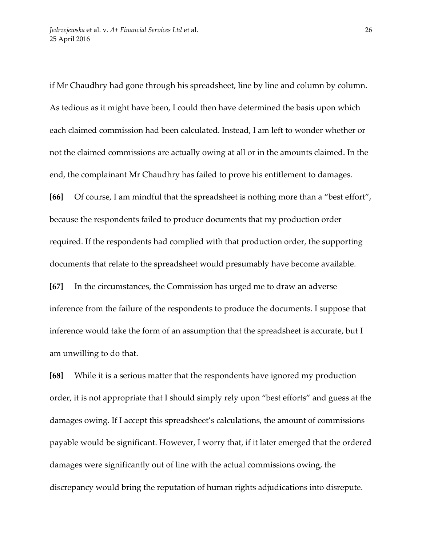if Mr Chaudhry had gone through his spreadsheet, line by line and column by column. As tedious as it might have been, I could then have determined the basis upon which each claimed commission had been calculated. Instead, I am left to wonder whether or not the claimed commissions are actually owing at all or in the amounts claimed. In the end, the complainant Mr Chaudhry has failed to prove his entitlement to damages. **[66]** Of course, I am mindful that the spreadsheet is nothing more than a "best effort", because the respondents failed to produce documents that my production order required. If the respondents had complied with that production order, the supporting documents that relate to the spreadsheet would presumably have become available. **[67]** In the circumstances, the Commission has urged me to draw an adverse inference from the failure of the respondents to produce the documents. I suppose that inference would take the form of an assumption that the spreadsheet is accurate, but I am unwilling to do that.

**[68]** While it is a serious matter that the respondents have ignored my production order, it is not appropriate that I should simply rely upon "best efforts" and guess at the damages owing. If I accept this spreadsheet's calculations, the amount of commissions payable would be significant. However, I worry that, if it later emerged that the ordered damages were significantly out of line with the actual commissions owing, the discrepancy would bring the reputation of human rights adjudications into disrepute.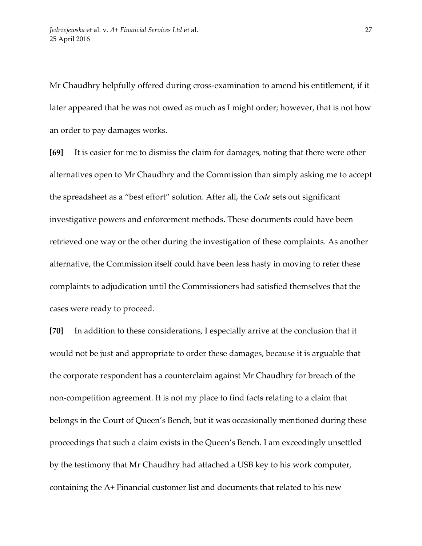Mr Chaudhry helpfully offered during cross-examination to amend his entitlement, if it later appeared that he was not owed as much as I might order; however, that is not how an order to pay damages works.

**[69]** It is easier for me to dismiss the claim for damages, noting that there were other alternatives open to Mr Chaudhry and the Commission than simply asking me to accept the spreadsheet as a "best effort" solution. After all, the *Code* sets out significant investigative powers and enforcement methods. These documents could have been retrieved one way or the other during the investigation of these complaints. As another alternative, the Commission itself could have been less hasty in moving to refer these complaints to adjudication until the Commissioners had satisfied themselves that the cases were ready to proceed.

**[70]** In addition to these considerations, I especially arrive at the conclusion that it would not be just and appropriate to order these damages, because it is arguable that the corporate respondent has a counterclaim against Mr Chaudhry for breach of the non-competition agreement. It is not my place to find facts relating to a claim that belongs in the Court of Queen's Bench, but it was occasionally mentioned during these proceedings that such a claim exists in the Queen's Bench. I am exceedingly unsettled by the testimony that Mr Chaudhry had attached a USB key to his work computer, containing the A+ Financial customer list and documents that related to his new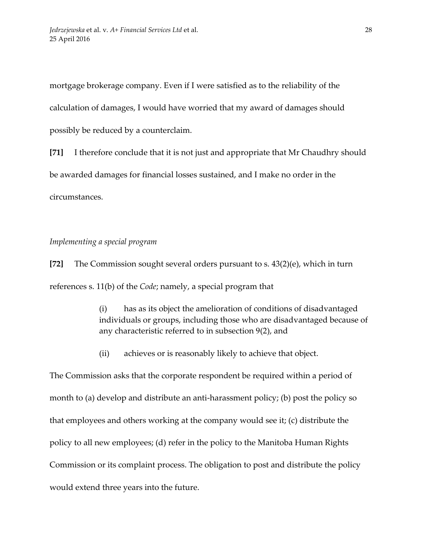mortgage brokerage company. Even if I were satisfied as to the reliability of the calculation of damages, I would have worried that my award of damages should possibly be reduced by a counterclaim.

**[71]** I therefore conclude that it is not just and appropriate that Mr Chaudhry should be awarded damages for financial losses sustained, and I make no order in the circumstances.

#### *Implementing a special program*

**[72]** The Commission sought several orders pursuant to s. 43(2)(e), which in turn references s. 11(b) of the *Code*; namely, a special program that

> (i) has as its object the amelioration of conditions of disadvantaged individuals or groups, including those who are disadvantaged because of any characteristic referred to in subsection 9(2), and

(ii) achieves or is reasonably likely to achieve that object.

The Commission asks that the corporate respondent be required within a period of month to (a) develop and distribute an anti-harassment policy; (b) post the policy so that employees and others working at the company would see it; (c) distribute the policy to all new employees; (d) refer in the policy to the Manitoba Human Rights Commission or its complaint process. The obligation to post and distribute the policy would extend three years into the future.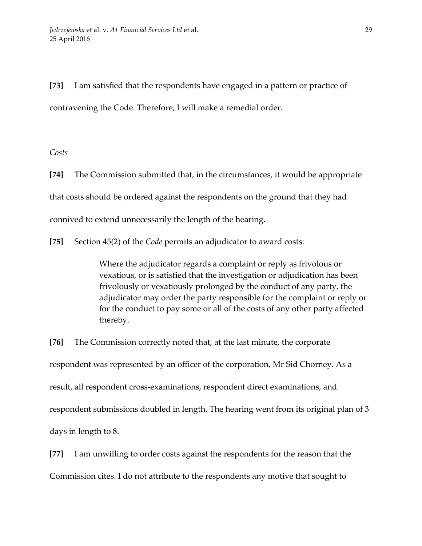**[73]** I am satisfied that the respondents have engaged in a pattern or practice of contravening the Code. Therefore, I will make a remedial order.

*Costs*

**[74]** The Commission submitted that, in the circumstances, it would be appropriate that costs should be ordered against the respondents on the ground that they had connived to extend unnecessarily the length of the hearing.

**[75]** Section 45(2) of the *Code* permits an adjudicator to award costs:

Where the adjudicator regards a complaint or reply as frivolous or vexatious, or is satisfied that the investigation or adjudication has been frivolously or vexatiously prolonged by the conduct of any party, the adjudicator may order the party responsible for the complaint or reply or for the conduct to pay some or all of the costs of any other party affected thereby.

**[76]** The Commission correctly noted that, at the last minute, the corporate respondent was represented by an officer of the corporation, Mr Sid Chorney. As a result, all respondent cross-examinations, respondent direct examinations, and respondent submissions doubled in length. The hearing went from its original plan of 3 days in length to 8.

**[77]** I am unwilling to order costs against the respondents for the reason that the Commission cites. I do not attribute to the respondents any motive that sought to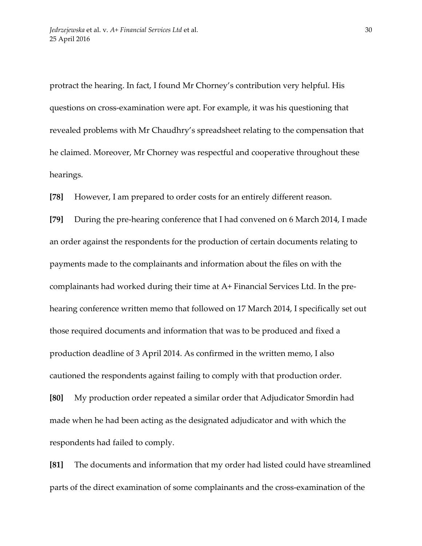protract the hearing. In fact, I found Mr Chorney's contribution very helpful. His questions on cross-examination were apt. For example, it was his questioning that revealed problems with Mr Chaudhry's spreadsheet relating to the compensation that he claimed. Moreover, Mr Chorney was respectful and cooperative throughout these hearings.

**[78]** However, I am prepared to order costs for an entirely different reason.

**[79]** During the pre-hearing conference that I had convened on 6 March 2014, I made an order against the respondents for the production of certain documents relating to payments made to the complainants and information about the files on with the complainants had worked during their time at A+ Financial Services Ltd. In the prehearing conference written memo that followed on 17 March 2014, I specifically set out those required documents and information that was to be produced and fixed a production deadline of 3 April 2014. As confirmed in the written memo, I also cautioned the respondents against failing to comply with that production order. **[80]** My production order repeated a similar order that Adjudicator Smordin had made when he had been acting as the designated adjudicator and with which the respondents had failed to comply.

**[81]** The documents and information that my order had listed could have streamlined parts of the direct examination of some complainants and the cross-examination of the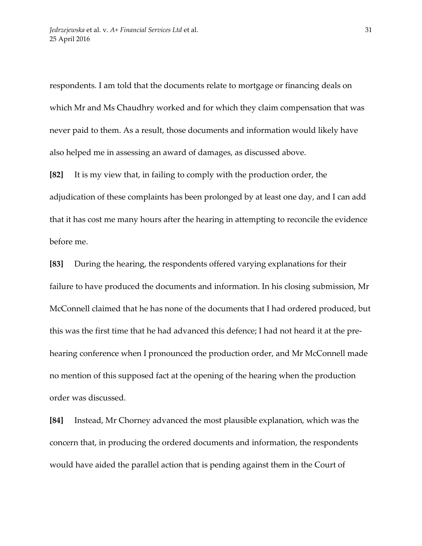respondents. I am told that the documents relate to mortgage or financing deals on which Mr and Ms Chaudhry worked and for which they claim compensation that was never paid to them. As a result, those documents and information would likely have also helped me in assessing an award of damages, as discussed above.

**[82]** It is my view that, in failing to comply with the production order, the adjudication of these complaints has been prolonged by at least one day, and I can add that it has cost me many hours after the hearing in attempting to reconcile the evidence before me.

**[83]** During the hearing, the respondents offered varying explanations for their failure to have produced the documents and information. In his closing submission, Mr McConnell claimed that he has none of the documents that I had ordered produced, but this was the first time that he had advanced this defence; I had not heard it at the prehearing conference when I pronounced the production order, and Mr McConnell made no mention of this supposed fact at the opening of the hearing when the production order was discussed.

**[84]** Instead, Mr Chorney advanced the most plausible explanation, which was the concern that, in producing the ordered documents and information, the respondents would have aided the parallel action that is pending against them in the Court of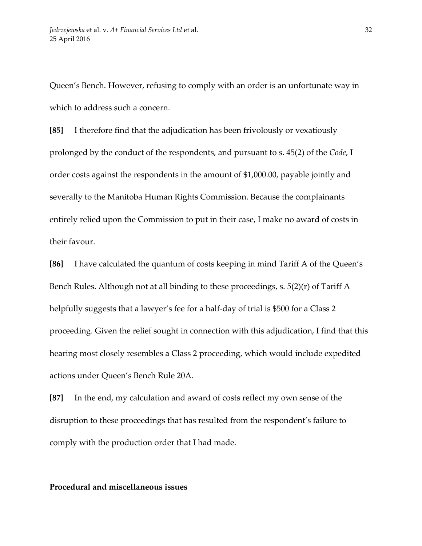Queen's Bench. However, refusing to comply with an order is an unfortunate way in which to address such a concern.

**[85]** I therefore find that the adjudication has been frivolously or vexatiously prolonged by the conduct of the respondents, and pursuant to s. 45(2) of the *Code*, I order costs against the respondents in the amount of \$1,000.00, payable jointly and severally to the Manitoba Human Rights Commission. Because the complainants entirely relied upon the Commission to put in their case, I make no award of costs in their favour.

**[86]** I have calculated the quantum of costs keeping in mind Tariff A of the Queen's Bench Rules. Although not at all binding to these proceedings, s. 5(2)(r) of Tariff A helpfully suggests that a lawyer's fee for a half-day of trial is \$500 for a Class 2 proceeding. Given the relief sought in connection with this adjudication, I find that this hearing most closely resembles a Class 2 proceeding, which would include expedited actions under Queen's Bench Rule 20A.

**[87]** In the end, my calculation and award of costs reflect my own sense of the disruption to these proceedings that has resulted from the respondent's failure to comply with the production order that I had made.

## **Procedural and miscellaneous issues**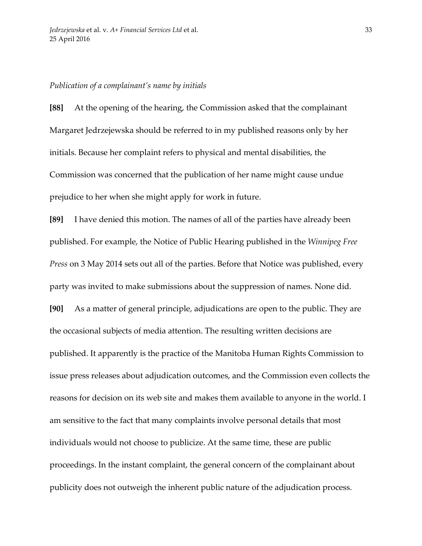#### *Publication of a complainant's name by initials*

**[88]** At the opening of the hearing, the Commission asked that the complainant Margaret Jedrzejewska should be referred to in my published reasons only by her initials. Because her complaint refers to physical and mental disabilities, the Commission was concerned that the publication of her name might cause undue prejudice to her when she might apply for work in future.

**[89]** I have denied this motion. The names of all of the parties have already been published. For example, the Notice of Public Hearing published in the *Winnipeg Free Press* on 3 May 2014 sets out all of the parties. Before that Notice was published, every party was invited to make submissions about the suppression of names. None did.

**[90]** As a matter of general principle, adjudications are open to the public. They are the occasional subjects of media attention. The resulting written decisions are published. It apparently is the practice of the Manitoba Human Rights Commission to issue press releases about adjudication outcomes, and the Commission even collects the reasons for decision on its web site and makes them available to anyone in the world. I am sensitive to the fact that many complaints involve personal details that most individuals would not choose to publicize. At the same time, these are public proceedings. In the instant complaint, the general concern of the complainant about publicity does not outweigh the inherent public nature of the adjudication process.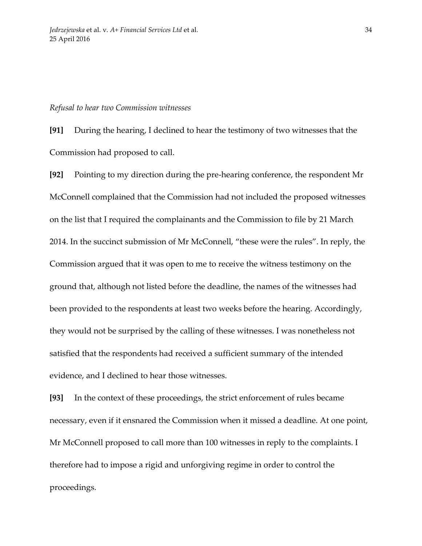#### *Refusal to hear two Commission witnesses*

**[91]** During the hearing, I declined to hear the testimony of two witnesses that the Commission had proposed to call.

**[92]** Pointing to my direction during the pre-hearing conference, the respondent Mr McConnell complained that the Commission had not included the proposed witnesses on the list that I required the complainants and the Commission to file by 21 March 2014. In the succinct submission of Mr McConnell, "these were the rules". In reply, the Commission argued that it was open to me to receive the witness testimony on the ground that, although not listed before the deadline, the names of the witnesses had been provided to the respondents at least two weeks before the hearing. Accordingly, they would not be surprised by the calling of these witnesses. I was nonetheless not satisfied that the respondents had received a sufficient summary of the intended evidence, and I declined to hear those witnesses.

**[93]** In the context of these proceedings, the strict enforcement of rules became necessary, even if it ensnared the Commission when it missed a deadline. At one point, Mr McConnell proposed to call more than 100 witnesses in reply to the complaints. I therefore had to impose a rigid and unforgiving regime in order to control the proceedings.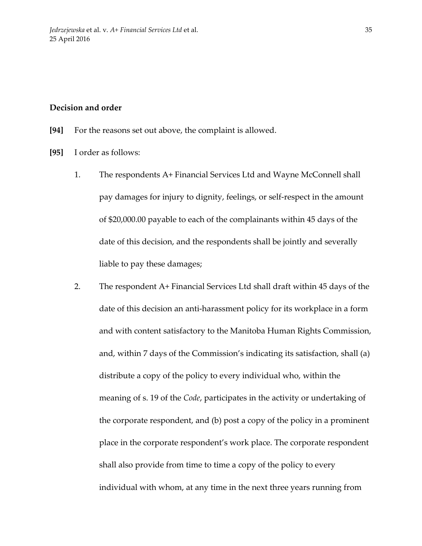## **Decision and order**

- **[94]** For the reasons set out above, the complaint is allowed.
- **[95]** I order as follows:
	- 1. The respondents A+ Financial Services Ltd and Wayne McConnell shall pay damages for injury to dignity, feelings, or self-respect in the amount of \$20,000.00 payable to each of the complainants within 45 days of the date of this decision, and the respondents shall be jointly and severally liable to pay these damages;
	- 2. The respondent A+ Financial Services Ltd shall draft within 45 days of the date of this decision an anti-harassment policy for its workplace in a form and with content satisfactory to the Manitoba Human Rights Commission, and, within 7 days of the Commission's indicating its satisfaction, shall (a) distribute a copy of the policy to every individual who, within the meaning of s. 19 of the *Code*, participates in the activity or undertaking of the corporate respondent, and (b) post a copy of the policy in a prominent place in the corporate respondent's work place. The corporate respondent shall also provide from time to time a copy of the policy to every individual with whom, at any time in the next three years running from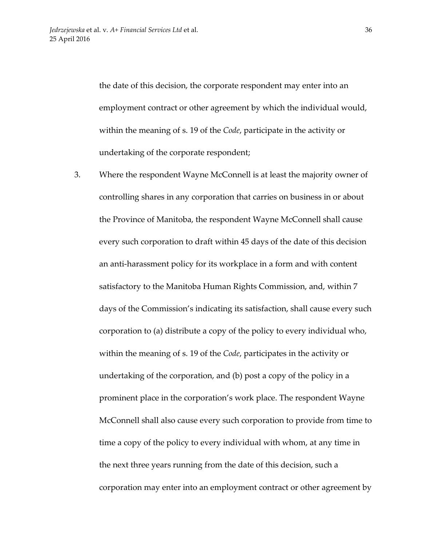the date of this decision, the corporate respondent may enter into an employment contract or other agreement by which the individual would, within the meaning of s. 19 of the *Code*, participate in the activity or undertaking of the corporate respondent;

3. Where the respondent Wayne McConnell is at least the majority owner of controlling shares in any corporation that carries on business in or about the Province of Manitoba, the respondent Wayne McConnell shall cause every such corporation to draft within 45 days of the date of this decision an anti-harassment policy for its workplace in a form and with content satisfactory to the Manitoba Human Rights Commission, and, within 7 days of the Commission's indicating its satisfaction, shall cause every such corporation to (a) distribute a copy of the policy to every individual who, within the meaning of s. 19 of the *Code*, participates in the activity or undertaking of the corporation, and (b) post a copy of the policy in a prominent place in the corporation's work place. The respondent Wayne McConnell shall also cause every such corporation to provide from time to time a copy of the policy to every individual with whom, at any time in the next three years running from the date of this decision, such a corporation may enter into an employment contract or other agreement by